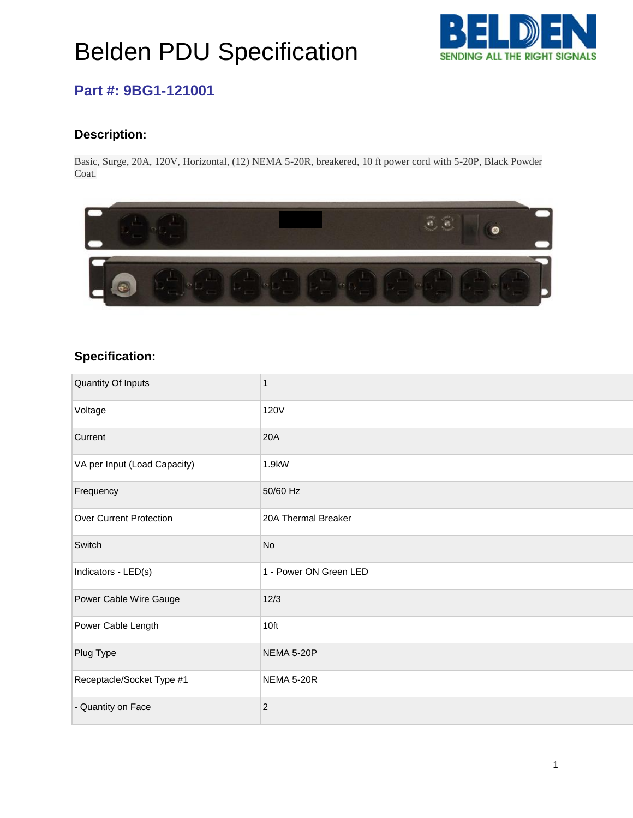# Belden PDU Specification



### **Part #: 9BG1-121001**

#### **Description:**

Basic, Surge, 20A, 120V, Horizontal, (12) NEMA 5-20R, breakered, 10 ft power cord with 5-20P, Black Powder Coat.



#### **Specification:**

| <b>Quantity Of Inputs</b>      | 1                      |
|--------------------------------|------------------------|
| Voltage                        | <b>120V</b>            |
| Current                        | 20A                    |
| VA per Input (Load Capacity)   | 1.9kW                  |
| Frequency                      | 50/60 Hz               |
| <b>Over Current Protection</b> | 20A Thermal Breaker    |
| Switch                         | <b>No</b>              |
| Indicators - LED(s)            | 1 - Power ON Green LED |
| Power Cable Wire Gauge         | 12/3                   |
| Power Cable Length             | 10ft                   |
| Plug Type                      | NEMA 5-20P             |
| Receptacle/Socket Type #1      | NEMA 5-20R             |
| - Quantity on Face             | $\overline{2}$         |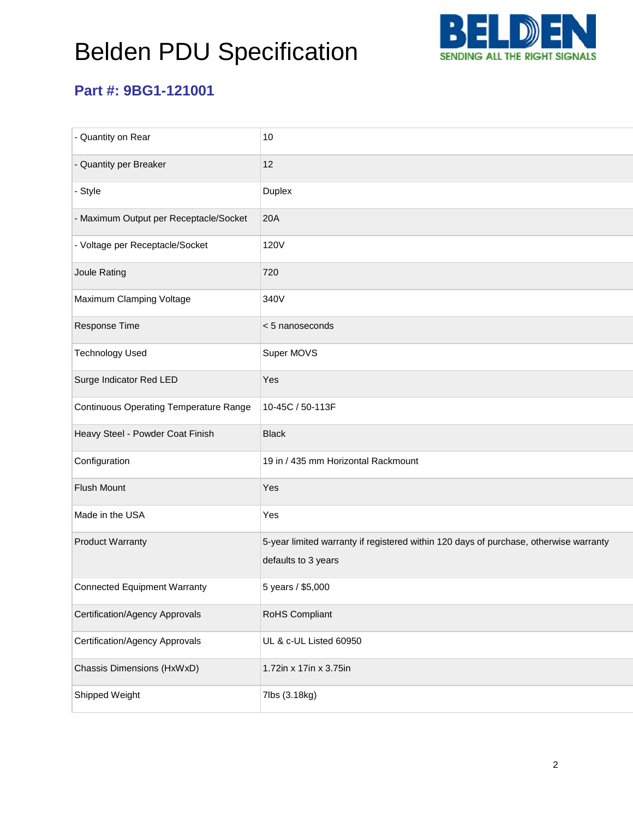# Belden PDU Specification



### **Part #: 9BG1-121001**

| - Quantity on Rear                            | 10                                                                                                           |
|-----------------------------------------------|--------------------------------------------------------------------------------------------------------------|
| - Quantity per Breaker                        | 12                                                                                                           |
| - Style                                       | Duplex                                                                                                       |
| - Maximum Output per Receptacle/Socket        | 20A                                                                                                          |
| - Voltage per Receptacle/Socket               | 120V                                                                                                         |
| Joule Rating                                  | 720                                                                                                          |
| Maximum Clamping Voltage                      | 340V                                                                                                         |
| Response Time                                 | < 5 nanoseconds                                                                                              |
| <b>Technology Used</b>                        | Super MOVS                                                                                                   |
| Surge Indicator Red LED                       | Yes                                                                                                          |
| <b>Continuous Operating Temperature Range</b> | 10-45C / 50-113F                                                                                             |
| Heavy Steel - Powder Coat Finish              | <b>Black</b>                                                                                                 |
| Configuration                                 | 19 in / 435 mm Horizontal Rackmount                                                                          |
| Flush Mount                                   | Yes                                                                                                          |
| Made in the USA                               | Yes                                                                                                          |
| <b>Product Warranty</b>                       | 5-year limited warranty if registered within 120 days of purchase, otherwise warranty<br>defaults to 3 years |
| <b>Connected Equipment Warranty</b>           | 5 years / \$5,000                                                                                            |
| Certification/Agency Approvals                | RoHS Compliant                                                                                               |
| <b>Certification/Agency Approvals</b>         | UL & c-UL Listed 60950                                                                                       |
| Chassis Dimensions (HxWxD)                    | 1.72in x 17in x 3.75in                                                                                       |
| Shipped Weight                                | 7lbs (3.18kg)                                                                                                |